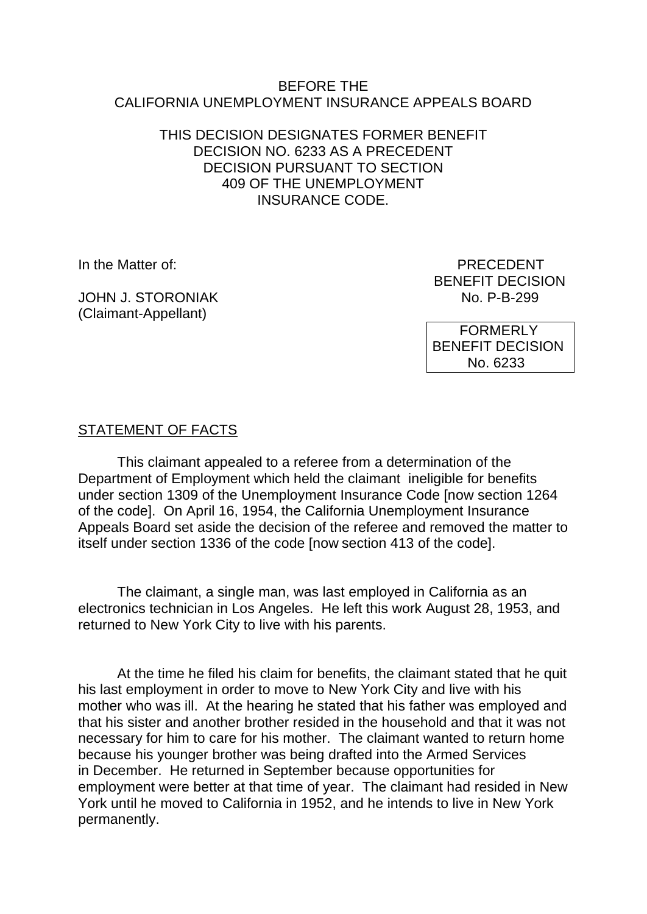#### BEFORE THE CALIFORNIA UNEMPLOYMENT INSURANCE APPEALS BOARD

#### THIS DECISION DESIGNATES FORMER BENEFIT DECISION NO. 6233 AS A PRECEDENT DECISION PURSUANT TO SECTION 409 OF THE UNEMPLOYMENT INSURANCE CODE.

JOHN J. STORONIAK (Claimant-Appellant)

In the Matter of: PRECEDENT BENEFIT DECISION<br>No. P-B-299

> FORMERLY BENEFIT DECISION No. 6233

### STATEMENT OF FACTS

This claimant appealed to a referee from a determination of the Department of Employment which held the claimant ineligible for benefits under section 1309 of the Unemployment Insurance Code [now section 1264 of the code]. On April 16, 1954, the California Unemployment Insurance Appeals Board set aside the decision of the referee and removed the matter to itself under section 1336 of the code [now section 413 of the code].

The claimant, a single man, was last employed in California as an electronics technician in Los Angeles. He left this work August 28, 1953, and returned to New York City to live with his parents.

At the time he filed his claim for benefits, the claimant stated that he quit his last employment in order to move to New York City and live with his mother who was ill. At the hearing he stated that his father was employed and that his sister and another brother resided in the household and that it was not necessary for him to care for his mother. The claimant wanted to return home because his younger brother was being drafted into the Armed Services in December. He returned in September because opportunities for employment were better at that time of year. The claimant had resided in New York until he moved to California in 1952, and he intends to live in New York permanently.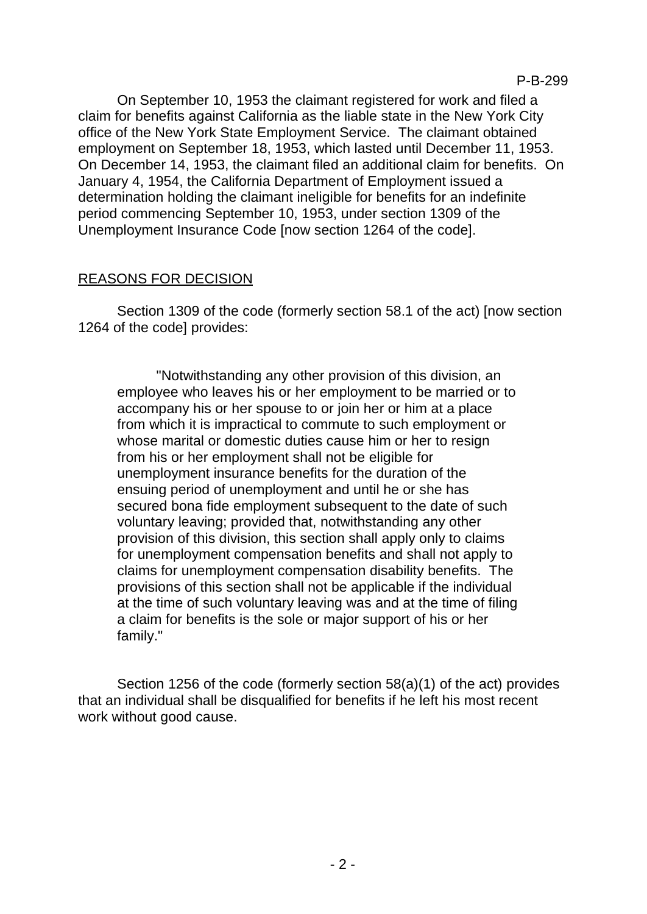On September 10, 1953 the claimant registered for work and filed a claim for benefits against California as the liable state in the New York City office of the New York State Employment Service. The claimant obtained employment on September 18, 1953, which lasted until December 11, 1953. On December 14, 1953, the claimant filed an additional claim for benefits. On January 4, 1954, the California Department of Employment issued a determination holding the claimant ineligible for benefits for an indefinite period commencing September 10, 1953, under section 1309 of the Unemployment Insurance Code [now section 1264 of the code].

# REASONS FOR DECISION

Section 1309 of the code (formerly section 58.1 of the act) [now section 1264 of the code] provides:

"Notwithstanding any other provision of this division, an employee who leaves his or her employment to be married or to accompany his or her spouse to or join her or him at a place from which it is impractical to commute to such employment or whose marital or domestic duties cause him or her to resign from his or her employment shall not be eligible for unemployment insurance benefits for the duration of the ensuing period of unemployment and until he or she has secured bona fide employment subsequent to the date of such voluntary leaving; provided that, notwithstanding any other provision of this division, this section shall apply only to claims for unemployment compensation benefits and shall not apply to claims for unemployment compensation disability benefits. The provisions of this section shall not be applicable if the individual at the time of such voluntary leaving was and at the time of filing a claim for benefits is the sole or major support of his or her family."

Section 1256 of the code (formerly section 58(a)(1) of the act) provides that an individual shall be disqualified for benefits if he left his most recent work without good cause.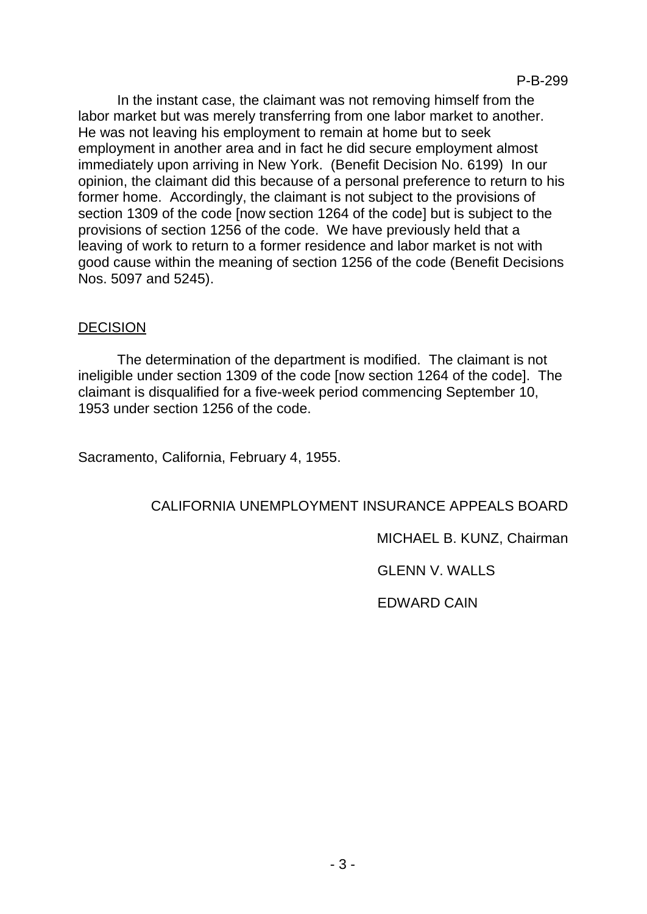In the instant case, the claimant was not removing himself from the labor market but was merely transferring from one labor market to another. He was not leaving his employment to remain at home but to seek employment in another area and in fact he did secure employment almost immediately upon arriving in New York. (Benefit Decision No. 6199) In our opinion, the claimant did this because of a personal preference to return to his former home. Accordingly, the claimant is not subject to the provisions of section 1309 of the code [now section 1264 of the code] but is subject to the provisions of section 1256 of the code. We have previously held that a leaving of work to return to a former residence and labor market is not with good cause within the meaning of section 1256 of the code (Benefit Decisions Nos. 5097 and 5245).

#### DECISION

The determination of the department is modified. The claimant is not ineligible under section 1309 of the code [now section 1264 of the code]. The claimant is disqualified for a five-week period commencing September 10, 1953 under section 1256 of the code.

Sacramento, California, February 4, 1955.

# CALIFORNIA UNEMPLOYMENT INSURANCE APPEALS BOARD

MICHAEL B. KUNZ, Chairman

GLENN V. WALLS

EDWARD CAIN